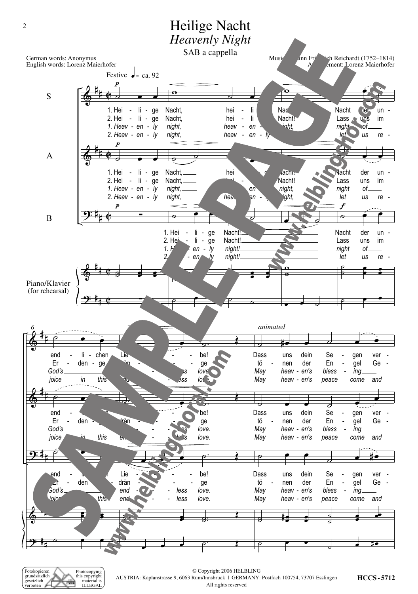